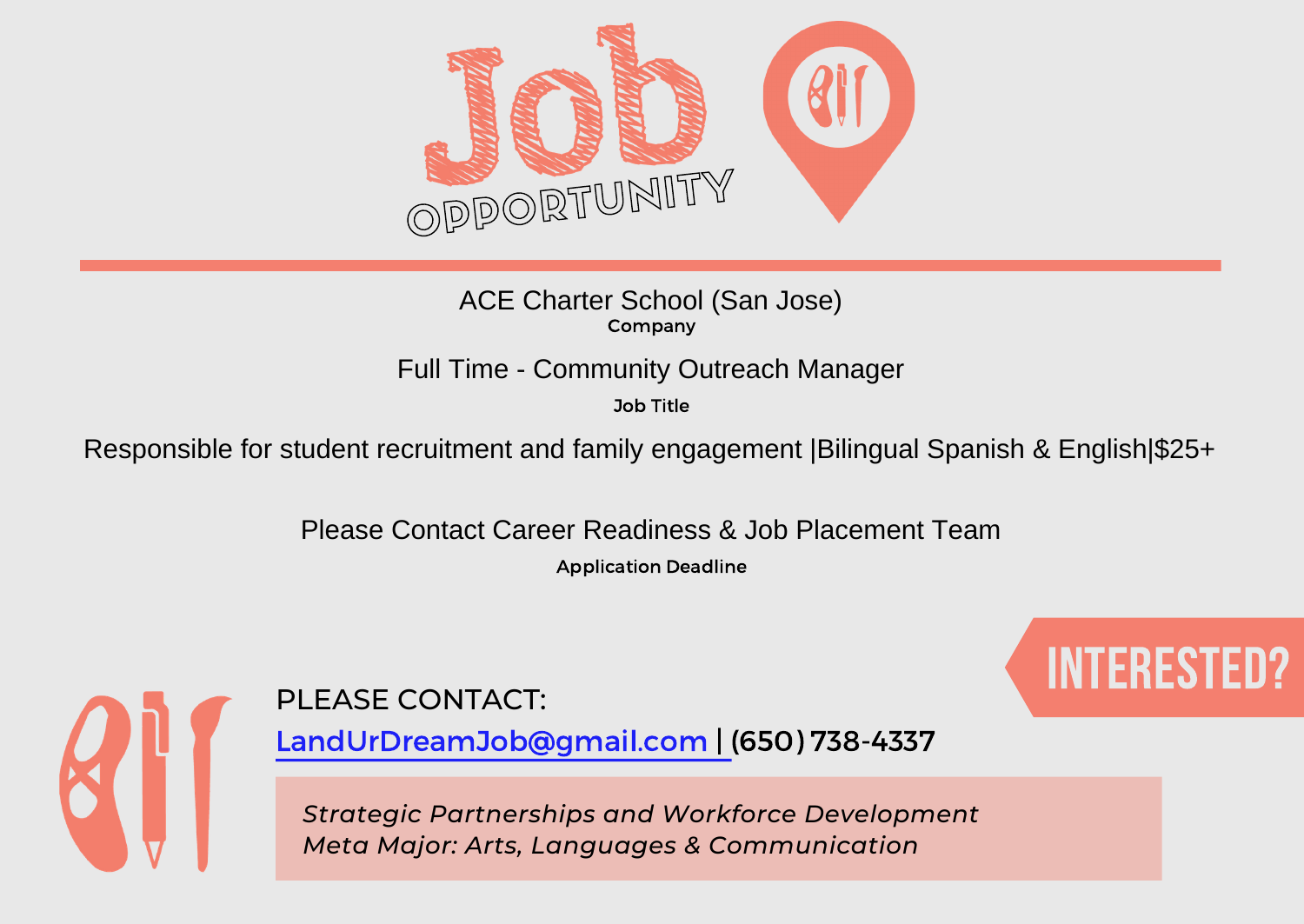

Company ACE Charter School (San Jose)

Full Time - Community Outreach Manager

Job Title

Responsible for student recruitment and family engagement | Bilingual Spanish & English|\$25+

Please Contact Career Readiness & Job Placement Team

Application Deadline



PLEASE CONTACT: A RESERVE CONTACTION OF THE STREET OF THE RESERVE OF THE RESERVE OF THE RESERVE OF THE RESERVE

LandUrDreamJob@gmail.com | (650) 738-4337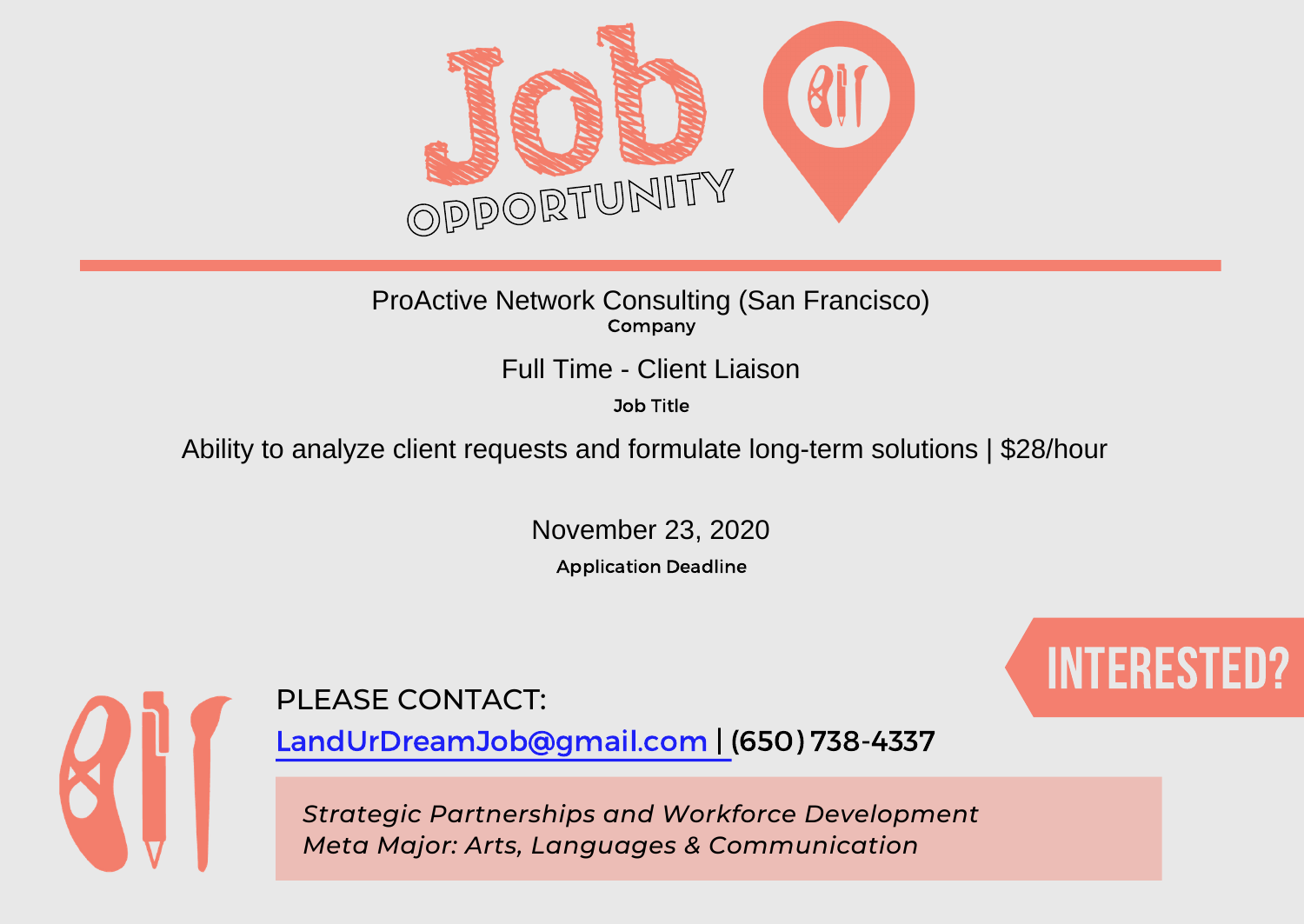

### Company ProActive Network Consulting (San Francisco)

Job Title

# Full Time - Client Liaison<br><sup>Job Title</sup><br>Ability to analyze client requests and formulate long-term solutions | \$28/hour

November 23, 2020

Application Deadline



## PLEASE CONTACT: A RESERVE CONTACTION OF THE STREET OF THE RESERVE OF THE RESERVE OF THE RESERVE OF THE RESERVE

LandUrDreamJob@gmail.com | (650) 738-4337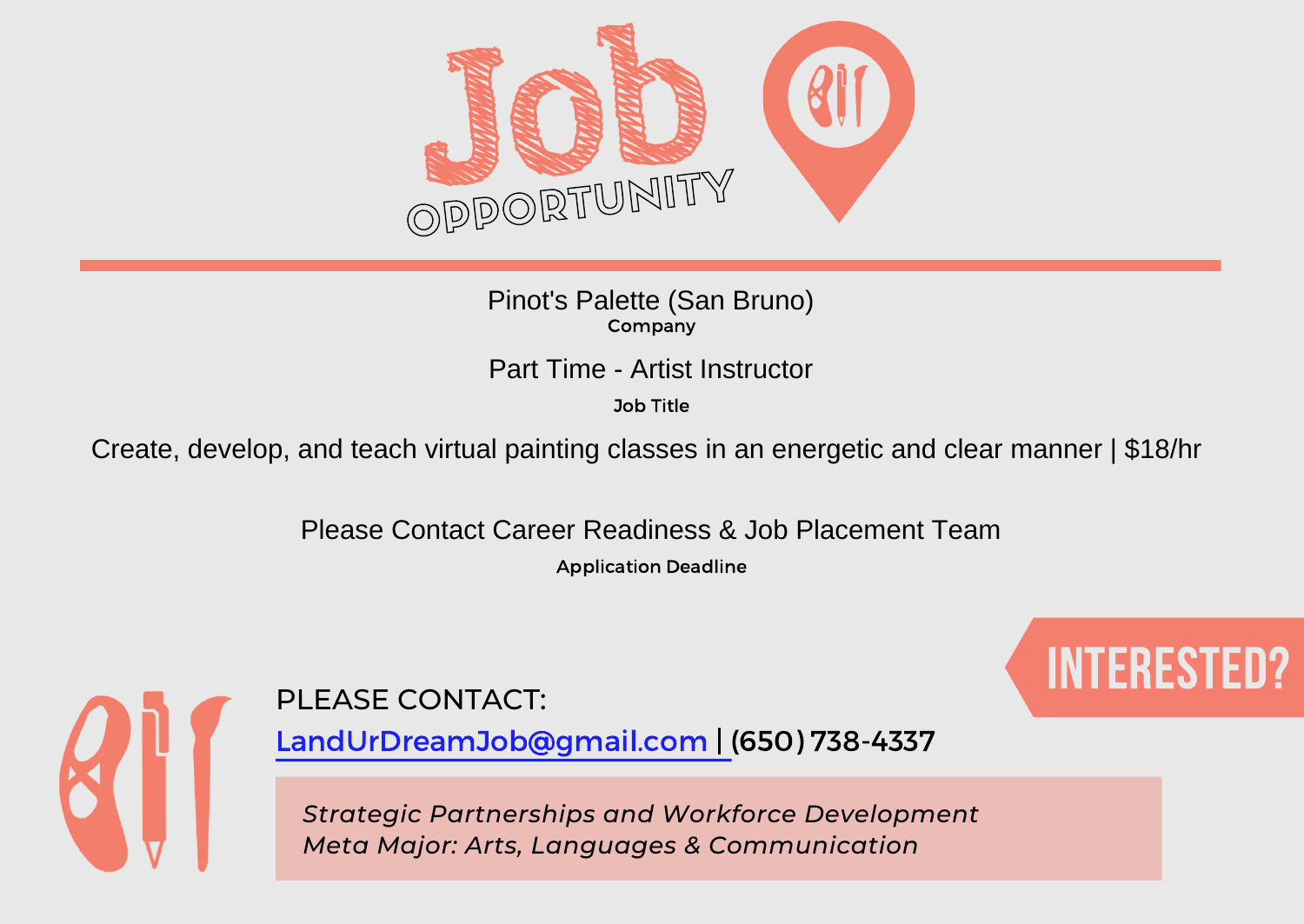

Company Pinot's Palette (San Bruno)

Job Title

Part Time - Artist Instructor<br>Job Title<br>Create, develop, and teach virtual painting classes in an energetic and clear manner | \$18/hr

Please Contact Career Readiness & Job Placement Team

Application Deadline



PLEASE CONTACT: A RESERVE CONTACTION OF THE STREET OF THE RESERVE OF THE RESERVE OF THE RESERVE OF THE RESERVE

LandUrDreamJob@gmail.com | (650) 738-4337